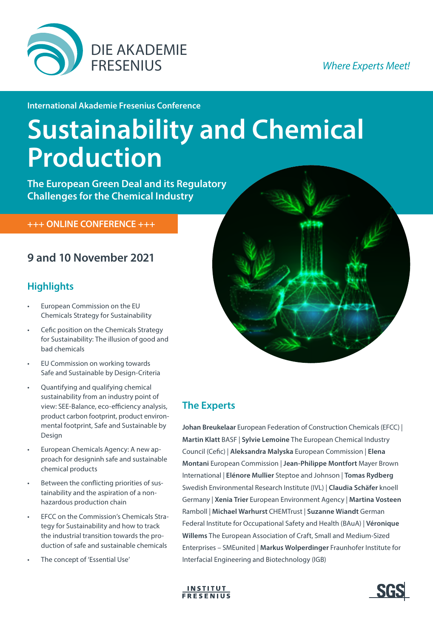

### **Where Experts Meet!**

**International Akademie Fresenius Conference** 

# **Sustainability and Chemical Production**

**The European Green Deal and its Regulatory Challenges for the Chemical Industry**

 **+++ ONLINE CONFERENCE +++**

## **9 and 10 November 2021**

## **Highlights**

- European Commission on the EU Chemicals Strategy for Sustainability
- Cefic position on the Chemicals Strategy for Sustainability: The illusion of good and bad chemicals
- EU Commission on working towards Safe and Sustainable by Design-Criteria
- Quantifying and qualifying chemical sustainability from an industry point of view: SEE-Balance, eco-efficiency analysis, product carbon footprint, product environmental footprint, Safe and Sustainable by Design
- European Chemicals Agency: A new approach for designinh safe and sustainable chemical products
- Between the conflicting priorities of sustainability and the aspiration of a nonhazardous production chain
- EFCC on the Commission's Chemicals Strategy for Sustainability and how to track the industrial transition towards the production of safe and sustainable chemicals
- The concept of 'Essential Use'



## **The Experts**

**Johan Breukelaar** European Federation of Construction Chemicals (EFCC) | **Martin Klatt** BASF | **Sylvie Lemoine** The European Chemical Industry Council (Cefic) | **Aleksandra Malyska** European Commission | **Elena Montani** European Commission | **Jean-Philippe Montfort** Mayer Brown International | **Elénore Mullier** Steptoe and Johnson | **Tomas Rydberg** Swedish Environmental Research Institute (IVL) | **Claudia Schäfer** knoell Germany | **Xenia Trier** European Environment Agency | **Martina Vosteen** Ramboll | **Michael Warhurst** CHEMTrust | **Suzanne Wiandt** German Federal Institute for Occupational Safety and Health (BAuA) | **Véronique Willems** The European Association of Craft, Small and Medium-Sized Enterprises – SMEunited | **Markus Wolperdinger** Fraunhofer Institute for Interfacial Engineering and Biotechnology (IGB)



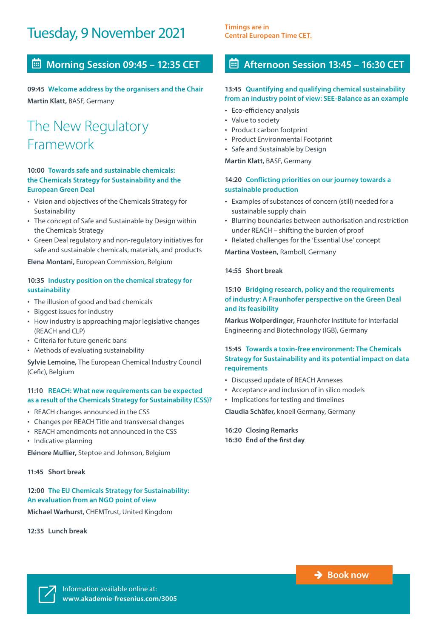## Tuesday, 9 November 2021 **Timings are in**

## **Morning Session 09:45 – 12:35 CET**

**09:45 Welcome address by the organisers and the Chair Martin Klatt,** BASF, Germany

## The New Regulatory Framework

#### **10:00 Towards safe and sustainable chemicals: the Chemicals Strategy for Sustainability and the European Green Deal**

- Vision and objectives of the Chemicals Strategy for Sustainability
- The concept of Safe and Sustainable by Design within the Chemicals Strategy
- Green Deal regulatory and non-regulatory initiatives for safe and sustainable chemicals, materials, and products

**Elena Montani,** European Commission, Belgium

#### **10:35 Industry position on the chemical strategy for sustainability**

- The illusion of good and bad chemicals
- Biggest issues for industry
- How industry is approaching major legislative changes (REACH and CLP)
- Criteria for future generic bans
- Methods of evaluating sustainability

**Sylvie Lemoine,** The European Chemical Industry Council (Cefic), Belgium

#### **11:10 REACH: What new requirements can be expected as a result of the Chemicals Strategy for Sustainability (CSS)?**

- REACH changes announced in the CSS
- Changes per REACH Title and transversal changes
- REACH amendments not announced in the CSS
- Indicative planning

**Elénore Mullier,** Steptoe and Johnson, Belgium

#### **11:45 Short break**

#### **12:00 The EU Chemicals Strategy for Sustainability: An evaluation from an NGO point of view**

**Michael Warhurst,** CHEMTrust, United Kingdom

**12:35 Lunch break**

**[Central European Time CET.](https://www.timeanddate.com/worldclock/fixedtime.html?msg=International+Akademie+Fresenius+Conference+%22Sustainability+and+Chemical+Production%22&iso=20211109T0945&p1=315)**

### **Afternoon Session 13:45 – 16:30 CET**

#### **13:45 Quantifying and qualifying chemical sustainability from an industry point of view: SEE-Balance as an example**

- Eco-efficiency analysis
- Value to society
- Product carbon footprint
- Product Environmental Footprint
- Safe and Sustainable by Design

**Martin Klatt,** BASF, Germany

#### **14:20 Conflicting priorities on our journey towards a sustainable production**

- Examples of substances of concern (still) needed for a sustainable supply chain
- Blurring boundaries between authorisation and restriction under REACH – shifting the burden of proof
- Related challenges for the 'Essential Use' concept

**Martina Vosteen,** Ramboll, Germany

#### **14:55 Short break**

#### **15:10 Bridging research, policy and the requirements of industry: A Fraunhofer perspective on the Green Deal and its feasibility**

**Markus Wolperdinger,** Fraunhofer Institute for Interfacial Engineering and Biotechnology (IGB), Germany

#### **15:45 Towards a toxin-free environment: The Chemicals Strategy for Sustainability and its potential impact on data requirements**

- Discussed update of REACH Annexes
- Acceptance and inclusion of in silico models
- Implications for testing and timelines

**Claudia Schäfer,** knoell Germany, Germany

**16:20 Closing Remarks 16:30 End of the first day**

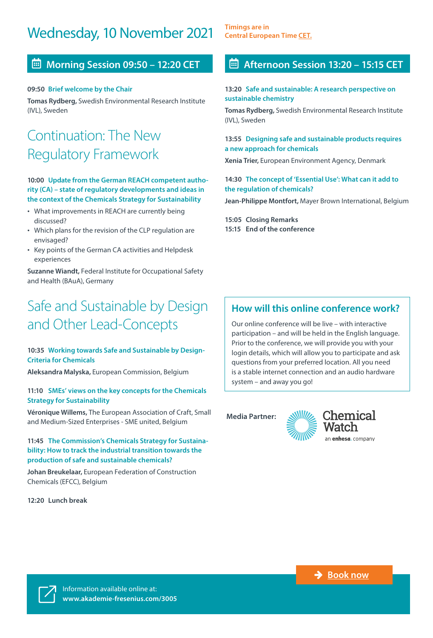## Wednesday, 10 November 2021 **Timings are in**

### **Morning Session 09:50 – 12:20 CET**

#### **09:50 Brief welcome by the Chair**

**Tomas Rydberg,** Swedish Environmental Research Institute (IVL), Sweden

## Continuation: The New Regulatory Framework

#### **10:00 Update from the German REACH competent authority (CA) – state of regulatory developments and ideas in the context of the Chemicals Strategy for Sustainability**

- What improvements in REACH are currently being discussed?
- Which plans for the revision of the CLP regulation are envisaged?
- Key points of the German CA activities and Helpdesk experiences

**Suzanne Wiandt,** Federal Institute for Occupational Safety and Health (BAuA), Germany

## Safe and Sustainable by Design and Other Lead-Concepts

#### **10:35 Working towards Safe and Sustainable by Design-Criteria for Chemicals**

**Aleksandra Malyska,** European Commission, Belgium

#### **11:10 SMEs' views on the key concepts for the Chemicals Strategy for Sustainability**

**Véronique Willems,** The European Association of Craft, Small and Medium-Sized Enterprises - SME united, Belgium

#### **11:45 The Commission's Chemicals Strategy for Sustainability: How to track the industrial transition towards the production of safe and sustainable chemicals?**

**Johan Breukelaar,** European Federation of Construction Chemicals (EFCC), Belgium

**12:20 Lunch break** 

**[Central European Time CET.](https://www.timeanddate.com/worldclock/fixedtime.html?msg=International+Akademie+Fresenius+Conference+%22Sustainability+and+Chemical+Production%22&iso=20211109T0945&p1=315)**

### **Afternoon Session 13:20 – 15:15 CET**

#### **13:20 Safe and sustainable: A research perspective on sustainable chemistry**

**Tomas Rydberg,** Swedish Environmental Research Institute (IVL), Sweden

#### **13:55 Designing safe and sustainable products requires a new approach for chemicals**

**Xenia Trier,** European Environment Agency, Denmark

#### **14:30 The concept of 'Essential Use': What can it add to the regulation of chemicals?**

**Jean-Philippe Montfort,** Mayer Brown International, Belgium

**15:05 Closing Remarks 15:15 End of the conference**

## **How will this online conference work?**

Our online conference will be live – with interactive participation – and will be held in the English language. Prior to the conference, we will provide you with your login details, which will allow you to participate and ask questions from your preferred location. All you need is a stable internet connection and an audio hardware system – and away you go!

**Media Partner:**